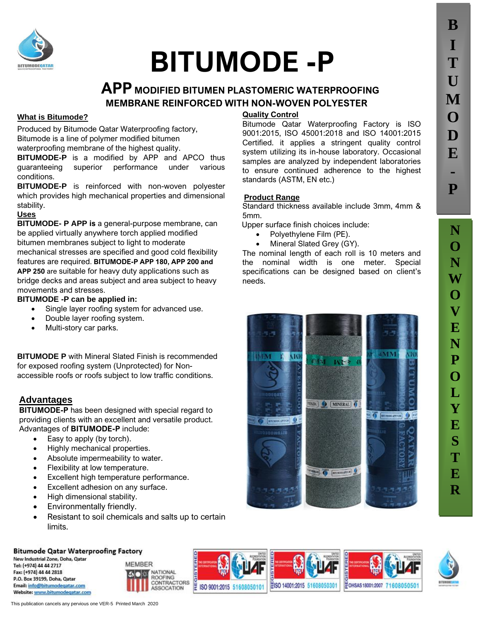

# **BITUMODE -P**

## **APP MODIFIED BITUMEN PLASTOMERIC WATERPROOFING MEMBRANE REINFORCED WITH NON-WOVEN POLYESTER**

#### **What is Bitumode?**

Produced by Bitumode Qatar Waterproofing factory, Bitumode is a line of polymer modified bitumen waterproofing membrane of the highest quality.

**BITUMODE-P** is a modified by APP and APCO thus guaranteeing superior performance under various conditions.

**BITUMODE-P** is reinforced with non-woven polyester which provides high mechanical properties and dimensional stability.

#### **Uses**

**BITUMODE- P APP is** a general-purpose membrane, can be applied virtually anywhere torch applied modified bitumen membranes subject to light to moderate mechanical stresses are specified and good cold flexibility features are required. **BITUMODE-P APP 180, APP 200 and APP 250** are suitable for heavy duty applications such as bridge decks and areas subject and area subject to heavy movements and stresses.

#### **BITUMODE -P can be applied in:**

- Single layer roofing system for advanced use.
- Double layer roofing system.
- Multi-story car parks.

**BITUMODE P** with Mineral Slated Finish is recommended for exposed roofing system (Unprotected) for Nonaccessible roofs or roofs subject to low traffic conditions.

#### **Advantages**

**BITUMODE-P** has been designed with special regard to providing clients with an excellent and versatile product. Advantages of **BITUMODE-P** include:

- Easy to apply (by torch).
- Highly mechanical properties.
- Absolute impermeability to water.
- Flexibility at low temperature.
- Excellent high temperature performance.
- Excellent adhesion on any surface.
- High dimensional stability.
- Environmentally friendly.
- Resistant to soil chemicals and salts up to certain limits.

#### **Bitumode Qatar Waterproofing Factory**

New Industrial Zone, Doha, Qatar Tel: (+974) 44 44 2717 Fax: (+974) 44 44 2818 P.O. Box 39199, Doha, Oatar Email: info@bitumodegatar.com Website: www.bitumodegatar.com



E ISO 9001:2015 51608050101



#### **Quality Control**

Bitumode Qatar Waterproofing Factory is ISO 9001:2015, ISO 45001:2018 and ISO 14001:2015 Certified. it applies a stringent quality control system utilizing its in-house laboratory. Occasional samples are analyzed by independent laboratories to ensure continued adherence to the highest standards (ASTM, EN etc.)

#### **Product Range**

Standard thickness available include 3mm, 4mm & 5mm.

Upper surface finish choices include:

- Polyethylene Film (PE).
- Mineral Slated Grey (GY).

The nominal length of each roll is 10 meters and the nominal width is one meter. Special specifications can be designed based on client's needs.